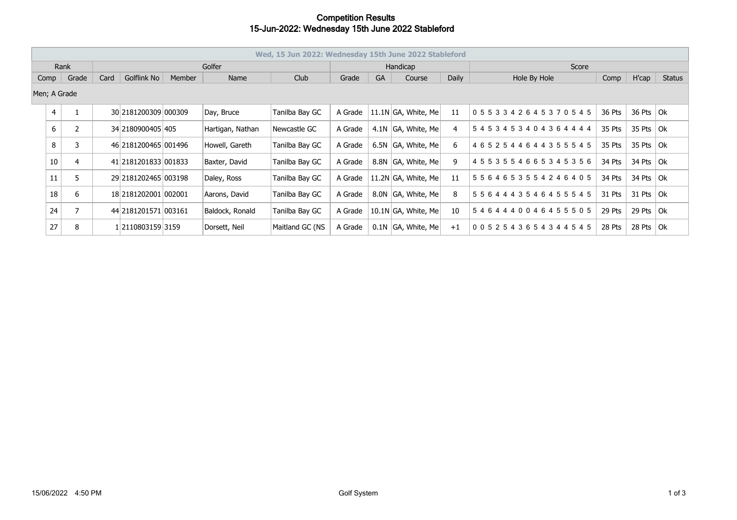## **Competition Results 15-Jun-2022: Wednesday 15th June 2022 Stableford**

|               | Wed, 15 Jun 2022: Wednesday 15th June 2022 Stableford |      |             |                         |      |                  |                 |           |        |                         |              |                                 |        |               |  |
|---------------|-------------------------------------------------------|------|-------------|-------------------------|------|------------------|-----------------|-----------|--------|-------------------------|--------------|---------------------------------|--------|---------------|--|
| Rank          |                                                       |      |             |                         |      | Golfer           |                 | Handicap  |        |                         |              | Score                           |        |               |  |
| Grade<br>Comp |                                                       | Card | Golflink No | Member                  | Name | Club             | Grade           | <b>GA</b> | Course | Daily                   | Hole By Hole | Comp                            | H'cap  | <b>Status</b> |  |
|               | Men; A Grade                                          |      |             |                         |      |                  |                 |           |        |                         |              |                                 |        |               |  |
|               | $\overline{4}$                                        |      |             | 30 2181200309 000309    |      | Day, Bruce       | Tanilba Bay GC  | A Grade   |        | 11.1N $ GA$ , White, Me | 11           | 0553342645370545                | 36 Pts | 36 Pts $ Ok $ |  |
|               | 6                                                     |      |             | 34 2180900405 405       |      | Hartigan, Nathan | Newcastle GC    | A Grade   |        | 4.1N GA, White, Me      | 4            | 5453453404364444                | 35 Pts | 35 Pts $ Ok $ |  |
|               | 8                                                     | 3    |             | 46 2181200465 001496    |      | Howell, Gareth   | Tanilba Bay GC  | A Grade   |        | 6.5N GA, White, Me      | 6            | 4652544644355545                | 35 Pts | 35 Pts $ 0k $ |  |
|               | 10                                                    |      |             | 41 2181201833 001833    |      | Baxter, David    | Tanilba Bay GC  | A Grade   |        | 8.8N GA, White, Me      | 9            | 4553554665345356                | 34 Pts | 34 Pts $ Ok $ |  |
|               | 11                                                    |      |             | 29 218 120 2465 00 3198 |      | Daley, Ross      | Tanilba Bay GC  | A Grade   |        | 11.2N GA, White, Me     | 11           | 5 5 6 4 6 5 3 5 5 4 2 4 6 4 0 5 | 34 Pts | 34 Pts $ Ok $ |  |
|               | 18                                                    | 6    |             | 18 2181202001 002001    |      | Aarons, David    | Tanilba Bay GC  | A Grade   |        | 8.0N GA, White, Me      | 8            | 5 5 6 4 4 4 3 5 4 6 4 5 5 5 4 5 | 31 Pts | 31 Pts $ 0k $ |  |
|               | 24                                                    |      |             | 44 2181201571 003161    |      | Baldock, Ronald  | Tanilba Bay GC  | A Grade   |        | 10.1N GA, White, Me     | 10           | 5464440046455505                | 29 Pts | 29 Pts $ Ok $ |  |
|               | 27                                                    | 8    |             | 1 2110803159 3159       |      | Dorsett, Neil    | Maitland GC (NS | A Grade   |        | $0.1N$ GA, White, Me    | $+1$         | 0 0 5 2 5 4 3 6 5 4 3 4 4 5 4 5 | 28 Pts | 28 Pts $ Ok $ |  |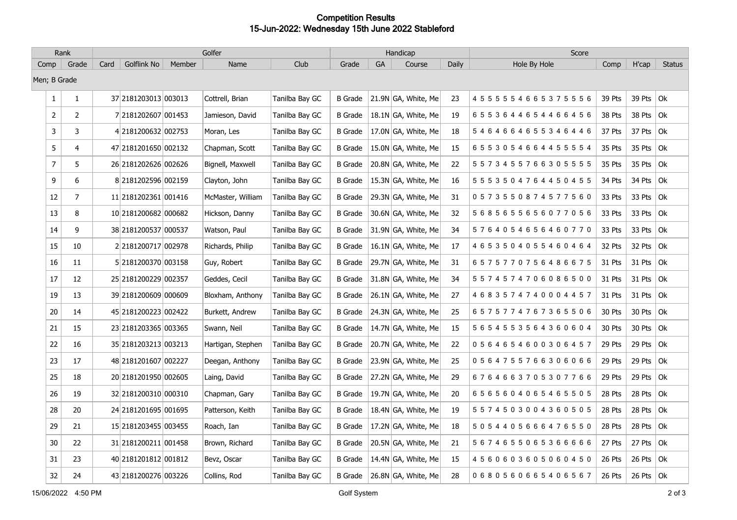## **Competition Results 15-Jun-2022: Wednesday 15th June 2022 Stableford**

| Rank           |                | Golfer |                      |        |                   |                |                |    | Handicap              |       | Score                           |        |                   |               |
|----------------|----------------|--------|----------------------|--------|-------------------|----------------|----------------|----|-----------------------|-------|---------------------------------|--------|-------------------|---------------|
| Comp           | Grade          | Card   | Golflink No          | Member | Name              | Club           | Grade          | GA | Course                | Daily | Hole By Hole                    | Comp   | H'cap             | <b>Status</b> |
| Men; B Grade   |                |        |                      |        |                   |                |                |    |                       |       |                                 |        |                   |               |
| $\mathbf{1}$   | $\mathbf{1}$   |        | 37 2181203013 003013 |        | Cottrell, Brian   | Tanilba Bay GC | <b>B</b> Grade |    | 21.9N GA, White, Me   | 23    | 4 5 5 5 5 5 4 6 6 5 3 7 5 5 5 6 | 39 Pts | 39 Pts $ Ok $     |               |
| $\overline{2}$ | $\overline{2}$ |        | 7 2181202607 001453  |        | Jamieson, David   | Tanilba Bay GC | <b>B</b> Grade |    | 18.1N GA, White, Me   | 19    | 6553644654466456                | 38 Pts | 38 Pts            | Ok            |
| 3              | 3              |        | 4 2181200632 002753  |        | Moran, Les        | Tanilba Bay GC | <b>B</b> Grade |    | 17.0N GA, White, Me   | 18    | 5464664655346446                | 37 Pts | 37 Pts $ Ok $     |               |
| 5              | 4              |        | 47 2181201650 002132 |        | Chapman, Scott    | Tanilba Bay GC | B Grade        |    | 15.0N GA, White, Me   | 15    | 6 5 5 3 0 5 4 6 6 4 4 5 5 5 5 4 | 35 Pts | 35 Pts $ 0k $     |               |
| $\overline{7}$ | 5              |        | 26 2181202626 002626 |        | Bignell, Maxwell  | Tanilba Bay GC | <b>B</b> Grade |    | 20.8N GA, White, Me   | 22    | 5 5 7 3 4 5 5 7 6 6 3 0 5 5 5 5 | 35 Pts | 35 Pts $ 0k $     |               |
| 9              | 6              |        | 8 2181202596 002159  |        | Clayton, John     | Tanilba Bay GC | <b>B</b> Grade |    | 15.3N GA, White, Me   | 16    | 5 5 5 3 5 0 4 7 6 4 4 5 0 4 5 5 | 34 Pts | 34 Pts $ Ok $     |               |
| 12             | $\overline{7}$ |        | 11 2181202361 001416 |        | McMaster, William | Tanilba Bay GC | <b>B</b> Grade |    | 29.3N GA, White, Me   | 31    | 0573550874577560                | 33 Pts | 33 Pts            | Ok            |
| 13             | 8              |        | 10 2181200682 000682 |        | Hickson, Danny    | Tanilba Bay GC | B Grade        |    | 30.6N GA, White, Me   | 32    | 5685655656077056                | 33 Pts | 33 Pts $ Ok $     |               |
| 14             | 9              |        | 38 2181200537 000537 |        | Watson, Paul      | Tanilba Bay GC | <b>B</b> Grade |    | 31.9N GA, White, Me   | 34    | 5764054656460770                | 33 Pts | 33 Pts $ Ok $     |               |
| 15             | 10             |        | 22181200717 002978   |        | Richards, Philip  | Tanilba Bay GC | <b>B</b> Grade |    | 16.1N GA, White, Me   | 17    | 4 6 5 3 5 0 4 0 5 5 4 6 0 4 6 4 | 32 Pts | 32 Pts $ Ok$      |               |
| 16             | 11             |        | 5 2181200370 003158  |        | Guy, Robert       | Tanilba Bay GC | <b>B</b> Grade |    | 29.7N GA, White, Me   | 31    | 6575770756486675                | 31 Pts | 31 Pts $ 0k $     |               |
| 17             | 12             |        | 25 2181200229 002357 |        | Geddes, Cecil     | Tanilba Bay GC | <b>B</b> Grade |    | $31.8N$ GA, White, Me | 34    | 5574574706086500                | 31 Pts | 31 Pts            | l Ok          |
| 19             | 13             |        | 39 2181200609 000609 |        | Bloxham, Anthony  | Tanilba Bay GC | <b>B</b> Grade |    | 26.1N GA, White, Me   | 27    | 4683574740004457                | 31 Pts | 31 Pts            | l Ok          |
| 20             | 14             |        | 45 2181200223 002422 |        | Burkett, Andrew   | Tanilba Bay GC | <b>B</b> Grade |    | 24.3N GA, White, Me   | 25    | 6575774767365506                | 30 Pts | 30 Pts $ Ok $     |               |
| 21             | 15             |        | 23 2181203365 003365 |        | Swann, Neil       | Tanilba Bay GC | B Grade        |    | 14.7N GA, White, Me   | 15    | 5 6 5 4 5 5 3 5 6 4 3 6 0 6 0 4 | 30 Pts | 30 Pts $ Ok $     |               |
| 22             | 16             |        | 35 2181203213 003213 |        | Hartigan, Stephen | Tanilba Bay GC | <b>B</b> Grade |    | 20.7N GA, White, Me   | 22    | 0564654600306457                | 29 Pts | 29 Pts $ 0k $     |               |
| 23             | 17             |        | 48 2181201607 002227 |        | Deegan, Anthony   | Tanilba Bay GC | <b>B</b> Grade |    | 23.9N GA, White, Me   | 25    | 0564755766306066                | 29 Pts | 29 Pts            | l Ok          |
| 25             | 18             |        | 20 2181201950 002605 |        | Laing, David      | Tanilba Bay GC | <b>B</b> Grade |    | 27.2N GA, White, Me   | 29    | 6764663705307766                | 29 Pts | 29 Pts            | l Ok          |
| 26             | 19             |        | 32 2181200310 000310 |        | Chapman, Gary     | Tanilba Bay GC | B Grade        |    | 19.7N GA, White, Me   | 20    | 6565604065465505                | 28 Pts | 28 Pts $\vert$ Ok |               |
| 28             | 20             |        | 24 2181201695 001695 |        | Patterson, Keith  | Tanilba Bay GC | <b>B</b> Grade |    | 18.4N GA, White, Me   | 19    | 5 5 7 4 5 0 3 0 0 4 3 6 0 5 0 5 | 28 Pts | 28 Pts $ Ok $     |               |
| 29             | 21             |        | 15 2181203455 003455 |        | Roach, Ian        | Tanilba Bay GC | <b>B</b> Grade |    | 17.2N GA, White, Me   | 18    | 5054405666476550                | 28 Pts | 28 Pts $ 0k $     |               |
| 30             | 22             |        | 31 2181200211 001458 |        | Brown, Richard    | Tanilba Bay GC | <b>B</b> Grade |    | 20.5N GA, White, Me   | 21    | 5 6 7 4 6 5 5 0 6 5 3 6 6 6 6 6 | 27 Pts | 27 Pts $ 0k $     |               |
| 31             | 23             |        | 40 2181201812 001812 |        | Bevz, Oscar       | Tanilba Bay GC | B Grade        |    | 14.4N GA, White, Me   | 15    | 4560603605060450                | 26 Pts | 26 Pts $ 0k $     |               |
| 32             | 24             |        | 43 2181200276 003226 |        | Collins, Rod      | Tanilba Bay GC | <b>B</b> Grade |    | 26.8N GA, White, Me   | 28    | 0680560665406567                | 26 Pts | 26 Pts $ Ok $     |               |